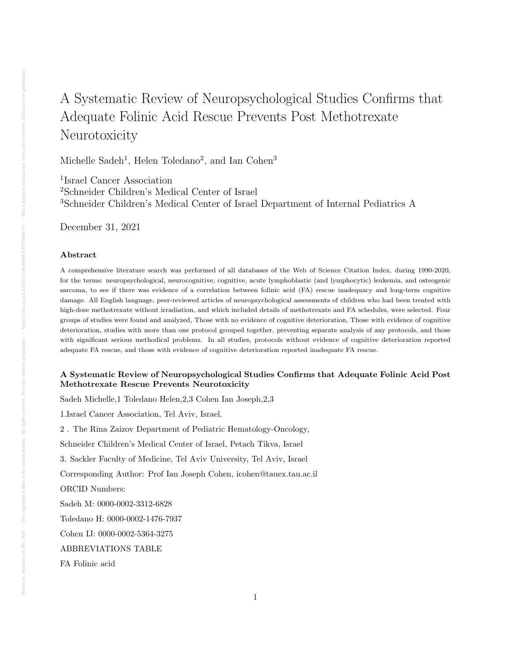# A Systematic Review of Neuropsychological Studies Confirms that Adequate Folinic Acid Rescue Prevents Post Methotrexate Neurotoxicity

Michelle Sadeh<sup>1</sup>, Helen Toledano<sup>2</sup>, and Ian Cohen<sup>3</sup>

1 Israel Cancer Association <sup>2</sup>Schneider Children's Medical Center of Israel <sup>3</sup>Schneider Children's Medical Center of Israel Department of Internal Pediatrics A

December 31, 2021

# Abstract

A comprehensive literature search was performed of all databases of the Web of Science Citation Index, during 1990-2020, for the terms: neuropsychological, neurocognitive, cognitive, acute lymphoblastic (and lymphocytic) leukemia, and osteogenic sarcoma, to see if there was evidence of a correlation between folinic acid (FA) rescue inadequacy and long-term cognitive damage. All English language, peer-reviewed articles of neuropsychological assessments of children who had been treated with high-dose methotrexate without irradiation, and which included details of methotrexate and FA schedules, were selected. Four groups of studies were found and analyzed, Those with no evidence of cognitive deterioration, Those with evidence of cognitive deterioration, studies with more than one protocol grouped together, preventing separate analysis of any protocols, and those with significant serious methodical problems. In all studies, protocols without evidence of cognitive deterioration reported adequate FA rescue, and those with evidence of cognitive deterioration reported inadequate FA rescue.

# A Systematic Review of Neuropsychological Studies Confirms that Adequate Folinic Acid Post Methotrexate Rescue Prevents Neurotoxicity

Sadeh Michelle,1 Toledano Helen,2,3 Cohen Ian Joseph,2,3

1.Israel Cancer Association, Tel Aviv, Israel.

2 . The Rina Zaizov Department of Pediatric Hematology-Oncology,

Schneider Children's Medical Center of Israel, Petach Tikva, Israel

3. Sackler Faculty of Medicine, Tel Aviv University, Tel Aviv, Israel

Corresponding Author: Prof Ian Joseph Cohen, icohen@tauex.tau.ac.il

ORCID Numbers:

Sadeh M: 0000-0002-3312-6828

Toledano H: 0000-0002-1476-7937

Cohen IJ: 0000-0002-5364-3275

ABBREVIATIONS TABLE

FA Folinic acid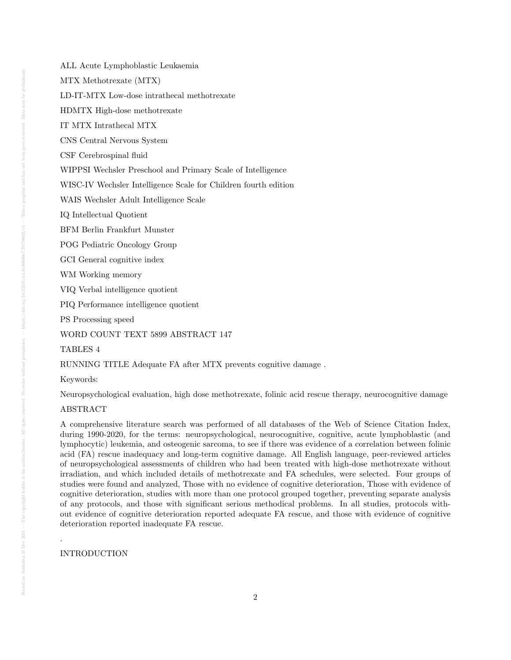MTX Methotrexate (MTX)

LD-IT-MTX Low-dose intrathecal methotrexate

HDMTX High-dose methotrexate

IT MTX Intrathecal MTX

CNS Central Nervous System

CSF Cerebrospinal fluid

WIPPSI Wechsler Preschool and Primary Scale of Intelligence

WISC-IV Wechsler Intelligence Scale for Children fourth edition

WAIS Wechsler Adult Intelligence Scale

IQ Intellectual Quotient

BFM Berlin Frankfurt Munster

POG Pediatric Oncology Group

GCI General cognitive index

WM Working memory

VIQ Verbal intelligence quotient

PIQ Performance intelligence quotient

PS Processing speed

WORD COUNT TEXT 5899 ABSTRACT 147

#### TABLES 4

RUNNING TITLE Adequate FA after MTX prevents cognitive damage .

# Keywords:

Neuropsychological evaluation, high dose methotrexate, folinic acid rescue therapy, neurocognitive damage

# ABSTRACT

A comprehensive literature search was performed of all databases of the Web of Science Citation Index, during 1990-2020, for the terms: neuropsychological, neurocognitive, cognitive, acute lymphoblastic (and lymphocytic) leukemia, and osteogenic sarcoma, to see if there was evidence of a correlation between folinic acid (FA) rescue inadequacy and long-term cognitive damage. All English language, peer-reviewed articles of neuropsychological assessments of children who had been treated with high-dose methotrexate without irradiation, and which included details of methotrexate and FA schedules, were selected. Four groups of studies were found and analyzed, Those with no evidence of cognitive deterioration, Those with evidence of cognitive deterioration, studies with more than one protocol grouped together, preventing separate analysis of any protocols, and those with significant serious methodical problems. In all studies, protocols without evidence of cognitive deterioration reported adequate FA rescue, and those with evidence of cognitive deterioration reported inadequate FA rescue.

## INTRODUCTION

.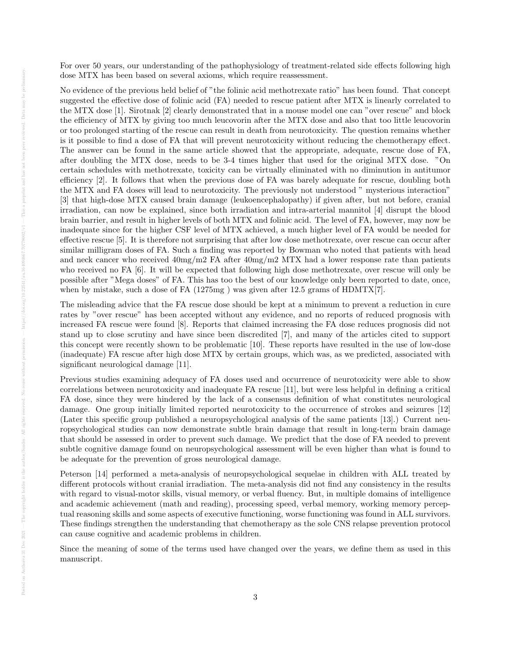For over 50 years, our understanding of the pathophysiology of treatment-related side effects following high dose MTX has been based on several axioms, which require reassessment.

No evidence of the previous held belief of "the folinic acid methotrexate ratio" has been found. That concept suggested the effective dose of folinic acid (FA) needed to rescue patient after MTX is linearly correlated to the MTX dose [1]. Sirotnak [2] clearly demonstrated that in a mouse model one can "over rescue" and block the efficiency of MTX by giving too much leucovorin after the MTX dose and also that too little leucovorin or too prolonged starting of the rescue can result in death from neurotoxicity. The question remains whether is it possible to find a dose of FA that will prevent neurotoxicity without reducing the chemotherapy effect. The answer can be found in the same article showed that the appropriate, adequate, rescue dose of FA, after doubling the MTX dose, needs to be 3-4 times higher that used for the original MTX dose. "On certain schedules with methotrexate, toxicity can be virtually eliminated with no diminution in antitumor efficiency [2]. It follows that when the previous dose of FA was barely adequate for rescue, doubling both the MTX and FA doses will lead to neurotoxicity. The previously not understood " mysterious interaction" [3] that high-dose MTX caused brain damage (leukoencephalopathy) if given after, but not before, cranial irradiation, can now be explained, since both irradiation and intra-arterial mannitol [4] disrupt the blood brain barrier, and result in higher levels of both MTX and folinic acid. The level of FA, however, may now be inadequate since for the higher CSF level of MTX achieved, a much higher level of FA would be needed for effective rescue [5]. It is therefore not surprising that after low dose methotrexate, over rescue can occur after similar milligram doses of FA. Such a finding was reported by Bowman who noted that patients with head and neck cancer who received 40mg/m2 FA after 40mg/m2 MTX had a lower response rate than patients who received no FA [6]. It will be expected that following high dose methotrexate, over rescue will only be possible after "Mega doses" of FA. This has too the best of our knowledge only been reported to date, once, when by mistake, such a dose of FA  $(1275mg)$  was given after 12.5 grams of HDMTX[7].

The misleading advice that the FA rescue dose should be kept at a minimum to prevent a reduction in cure rates by "over rescue" has been accepted without any evidence, and no reports of reduced prognosis with increased FA rescue were found [8]. Reports that claimed increasing the FA dose reduces prognosis did not stand up to close scrutiny and have since been discredited [7], and many of the articles cited to support this concept were recently shown to be problematic [10]. These reports have resulted in the use of low-dose (inadequate) FA rescue after high dose MTX by certain groups, which was, as we predicted, associated with significant neurological damage [11].

Previous studies examining adequacy of FA doses used and occurrence of neurotoxicity were able to show correlations between neurotoxicity and inadequate FA rescue [11], but were less helpful in defining a critical FA dose, since they were hindered by the lack of a consensus definition of what constitutes neurological damage. One group initially limited reported neurotoxicity to the occurrence of strokes and seizures [12] (Later this specific group published a neuropsychological analysis of the same patients [13].) Current neuropsychological studies can now demonstrate subtle brain damage that result in long-term brain damage that should be assessed in order to prevent such damage. We predict that the dose of FA needed to prevent subtle cognitive damage found on neuropsychological assessment will be even higher than what is found to be adequate for the prevention of gross neurological damage.

Peterson [14] performed a meta-analysis of neuropsychological sequelae in children with ALL treated by different protocols without cranial irradiation. The meta-analysis did not find any consistency in the results with regard to visual-motor skills, visual memory, or verbal fluency. But, in multiple domains of intelligence and academic achievement (math and reading), processing speed, verbal memory, working memory perceptual reasoning skills and some aspects of executive functioning, worse functioning was found in ALL survivors. These findings strengthen the understanding that chemotherapy as the sole CNS relapse prevention protocol can cause cognitive and academic problems in children.

Since the meaning of some of the terms used have changed over the years, we define them as used in this manuscript.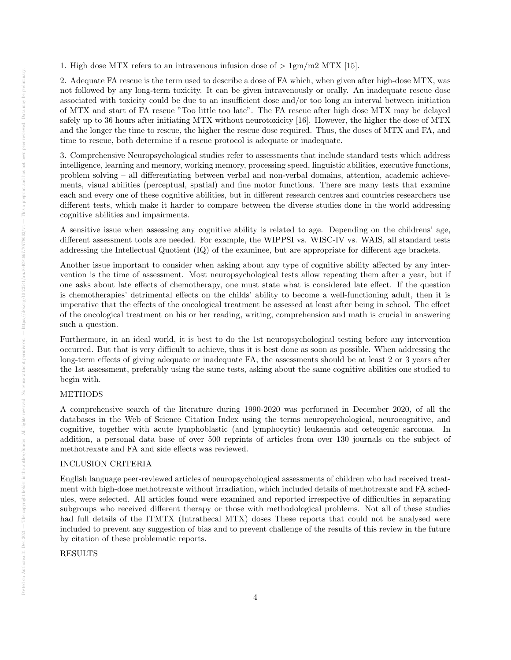1. High dose MTX refers to an intravenous infusion dose of  $> 1gm/m2$  MTX [15].

2. Adequate FA rescue is the term used to describe a dose of FA which, when given after high-dose MTX, was not followed by any long-term toxicity. It can be given intravenously or orally. An inadequate rescue dose associated with toxicity could be due to an insufficient dose and/or too long an interval between initiation of MTX and start of FA rescue "Too little too late". The FA rescue after high dose MTX may be delayed safely up to 36 hours after initiating MTX without neurotoxicity [16]. However, the higher the dose of MTX and the longer the time to rescue, the higher the rescue dose required. Thus, the doses of MTX and FA, and time to rescue, both determine if a rescue protocol is adequate or inadequate.

3. Comprehensive Neuropsychological studies refer to assessments that include standard tests which address intelligence, learning and memory, working memory, processing speed, linguistic abilities, executive functions, problem solving – all differentiating between verbal and non-verbal domains, attention, academic achievements, visual abilities (perceptual, spatial) and fine motor functions. There are many tests that examine each and every one of these cognitive abilities, but in different research centres and countries researchers use different tests, which make it harder to compare between the diverse studies done in the world addressing cognitive abilities and impairments.

A sensitive issue when assessing any cognitive ability is related to age. Depending on the childrens' age, different assessment tools are needed. For example, the WIPPSI vs. WISC-IV vs. WAIS, all standard tests addressing the Intellectual Quotient (IQ) of the examinee, but are appropriate for different age brackets.

Another issue important to consider when asking about any type of cognitive ability affected by any intervention is the time of assessment. Most neuropsychological tests allow repeating them after a year, but if one asks about late effects of chemotherapy, one must state what is considered late effect. If the question is chemotherapies' detrimental effects on the childs' ability to become a well-functioning adult, then it is imperative that the effects of the oncological treatment be assessed at least after being in school. The effect of the oncological treatment on his or her reading, writing, comprehension and math is crucial in answering such a question.

Furthermore, in an ideal world, it is best to do the 1st neuropsychological testing before any intervention occurred. But that is very difficult to achieve, thus it is best done as soon as possible. When addressing the long-term effects of giving adequate or inadequate FA, the assessments should be at least 2 or 3 years after the 1st assessment, preferably using the same tests, asking about the same cognitive abilities one studied to begin with.

# **METHODS**

A comprehensive search of the literature during 1990-2020 was performed in December 2020, of all the databases in the Web of Science Citation Index using the terms neuropsychological, neurocognitive, and cognitive, together with acute lymphoblastic (and lymphocytic) leukaemia and osteogenic sarcoma. In addition, a personal data base of over 500 reprints of articles from over 130 journals on the subject of methotrexate and FA and side effects was reviewed.

# INCLUSION CRITERIA

English language peer-reviewed articles of neuropsychological assessments of children who had received treatment with high-dose methotrexate without irradiation, which included details of methotrexate and FA schedules, were selected. All articles found were examined and reported irrespective of difficulties in separating subgroups who received different therapy or those with methodological problems. Not all of these studies had full details of the ITMTX (Intrathecal MTX) doses These reports that could not be analysed were included to prevent any suggestion of bias and to prevent challenge of the results of this review in the future by citation of these problematic reports.

# RESULTS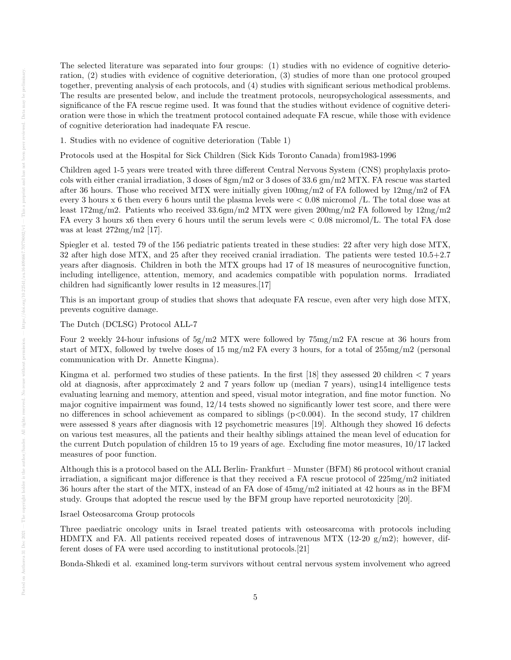The selected literature was separated into four groups: (1) studies with no evidence of cognitive deterioration, (2) studies with evidence of cognitive deterioration, (3) studies of more than one protocol grouped together, preventing analysis of each protocols, and (4) studies with significant serious methodical problems. The results are presented below, and include the treatment protocols, neuropsychological assessments, and significance of the FA rescue regime used. It was found that the studies without evidence of cognitive deterioration were those in which the treatment protocol contained adequate FA rescue, while those with evidence of cognitive deterioration had inadequate FA rescue.

1. Studies with no evidence of cognitive deterioration (Table 1)

Protocols used at the Hospital for Sick Children (Sick Kids Toronto Canada) from1983-1996

Children aged 1-5 years were treated with three different Central Nervous System (CNS) prophylaxis protocols with either cranial irradiation, 3 doses of 8gm/m2 or 3 doses of 33.6 gm/m2 MTX. FA rescue was started after 36 hours. Those who received MTX were initially given 100mg/m2 of FA followed by 12mg/m2 of FA every 3 hours x 6 then every 6 hours until the plasma levels were  $< 0.08$  micromol */L*. The total dose was at least 172mg/m2. Patients who received 33.6gm/m2 MTX were given 200mg/m2 FA followed by 12mg/m2 FA every 3 hours x6 then every 6 hours until the serum levels were < 0.08 micromol/L. The total FA dose was at least 272mg/m2 [17].

Spiegler et al. tested 79 of the 156 pediatric patients treated in these studies: 22 after very high dose MTX, 32 after high dose MTX, and 25 after they received cranial irradiation. The patients were tested 10.5+2.7 years after diagnosis. Children in both the MTX groups had 17 of 18 measures of neurocognitive function, including intelligence, attention, memory, and academics compatible with population norms. Irradiated children had significantly lower results in 12 measures.[17]

This is an important group of studies that shows that adequate FA rescue, even after very high dose MTX, prevents cognitive damage.

The Dutch (DCLSG) Protocol ALL-7

Four 2 weekly 24-hour infusions of 5g/m2 MTX were followed by 75mg/m2 FA rescue at 36 hours from start of MTX, followed by twelve doses of 15 mg/m2 FA every 3 hours, for a total of 255mg/m2 (personal communication with Dr. Annette Kingma).

Kingma et al. performed two studies of these patients. In the first  $[18]$  they assessed 20 children  $\lt 7$  years old at diagnosis, after approximately 2 and 7 years follow up (median 7 years), using14 intelligence tests evaluating learning and memory, attention and speed, visual motor integration, and fine motor function. No major cognitive impairment was found,  $12/14$  tests showed no significantly lower test score, and there were no differences in school achievement as compared to siblings  $(p<0.004)$ . In the second study, 17 children were assessed 8 years after diagnosis with 12 psychometric measures [19]. Although they showed 16 defects on various test measures, all the patients and their healthy siblings attained the mean level of education for the current Dutch population of children 15 to 19 years of age. Excluding fine motor measures, 10/17 lacked measures of poor function.

Although this is a protocol based on the ALL Berlin- Frankfurt – Munster (BFM) 86 protocol without cranial irradiation, a significant major difference is that they received a FA rescue protocol of 225mg/m2 initiated 36 hours after the start of the MTX, instead of an FA dose of 45mg/m2 initiated at 42 hours as in the BFM study. Groups that adopted the rescue used by the BFM group have reported neurotoxicity [20].

Israel Osteosarcoma Group protocols

Three paediatric oncology units in Israel treated patients with osteosarcoma with protocols including HDMTX and FA. All patients received repeated doses of intravenous MTX (12-20  $g/m2$ ); however, different doses of FA were used according to institutional protocols.[21]

Bonda-Shkedi et al. examined long-term survivors without central nervous system involvement who agreed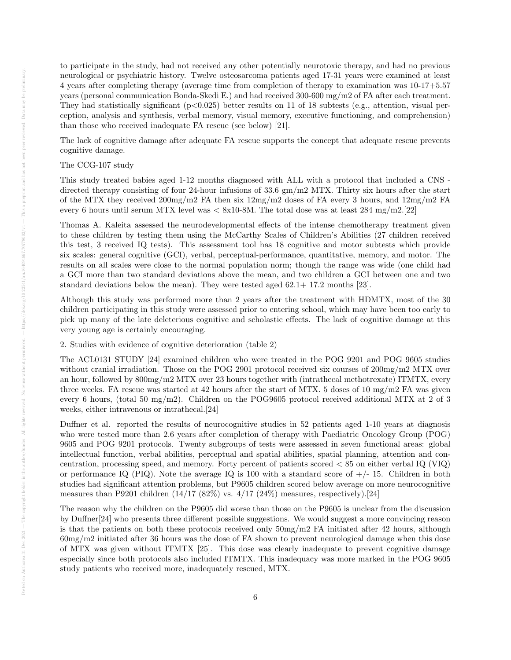to participate in the study, had not received any other potentially neurotoxic therapy, and had no previous neurological or psychiatric history. Twelve osteosarcoma patients aged 17-31 years were examined at least 4 years after completing therapy (average time from completion of therapy to examination was 10-17+5.57 years (personal communication Bonda-Skedi E.) and had received 300-600 mg/m2 of FA after each treatment. They had statistically significant ( $p<0.025$ ) better results on 11 of 18 subtests (e.g., attention, visual perception, analysis and synthesis, verbal memory, visual memory, executive functioning, and comprehension) than those who received inadequate FA rescue (see below) [21].

The lack of cognitive damage after adequate FA rescue supports the concept that adequate rescue prevents cognitive damage.

# The CCG-107 study

This study treated babies aged 1-12 months diagnosed with ALL with a protocol that included a CNS directed therapy consisting of four 24-hour infusions of 33.6 gm/m2 MTX. Thirty six hours after the start of the MTX they received 200mg/m2 FA then six 12mg/m2 doses of FA every 3 hours, and 12mg/m2 FA every 6 hours until serum MTX level was  $\langle 8x10-8M$ . The total dose was at least 284 mg/m2.[22]

Thomas A. Kaleita assessed the neurodevelopmental effects of the intense chemotherapy treatment given to these children by testing them using the McCarthy Scales of Children's Abilities (27 children received this test, 3 received IQ tests). This assessment tool has 18 cognitive and motor subtests which provide six scales: general cognitive (GCI), verbal, perceptual-performance, quantitative, memory, and motor. The results on all scales were close to the normal population norm; though the range was wide (one child had a GCI more than two standard deviations above the mean, and two children a GCI between one and two standard deviations below the mean). They were tested aged 62.1+ 17.2 months [23].

Although this study was performed more than 2 years after the treatment with HDMTX, most of the 30 children participating in this study were assessed prior to entering school, which may have been too early to pick up many of the late deleterious cognitive and scholastic effects. The lack of cognitive damage at this very young age is certainly encouraging.

2. Studies with evidence of cognitive deterioration (table 2)

The ACL0131 STUDY [24] examined children who were treated in the POG 9201 and POG 9605 studies without cranial irradiation. Those on the POG 2901 protocol received six courses of 200mg/m2 MTX over an hour, followed by 800mg/m2 MTX over 23 hours together with (intrathecal methotrexate) ITMTX, every three weeks. FA rescue was started at 42 hours after the start of MTX. 5 doses of 10 mg/m2 FA was given every 6 hours, (total 50 mg/m2). Children on the POG9605 protocol received additional MTX at 2 of 3 weeks, either intravenous or intrathecal.[24]

Duffner et al. reported the results of neurocognitive studies in 52 patients aged 1-10 years at diagnosis who were tested more than 2.6 years after completion of therapy with Paediatric Oncology Group (POG) 9605 and POG 9201 protocols. Twenty subgroups of tests were assessed in seven functional areas: global intellectual function, verbal abilities, perceptual and spatial abilities, spatial planning, attention and concentration, processing speed, and memory. Forty percent of patients scored < 85 on either verbal IQ (VIQ) or performance IQ (PIQ). Note the average IQ is 100 with a standard score of  $+/- 15$ . Children in both studies had significant attention problems, but P9605 children scored below average on more neurocognitive measures than P9201 children  $(14/17 \ (82\%)$  vs.  $4/17 \ (24\%)$  measures, respectively).[24]

The reason why the children on the P9605 did worse than those on the P9605 is unclear from the discussion by Duffner[24] who presents three different possible suggestions. We would suggest a more convincing reason is that the patients on both these protocols received only 50mg/m2 FA initiated after 42 hours, although 60mg/m2 initiated after 36 hours was the dose of FA shown to prevent neurological damage when this dose of MTX was given without ITMTX [25]. This dose was clearly inadequate to prevent cognitive damage especially since both protocols also included ITMTX. This inadequacy was more marked in the POG 9605 study patients who received more, inadequately rescued, MTX.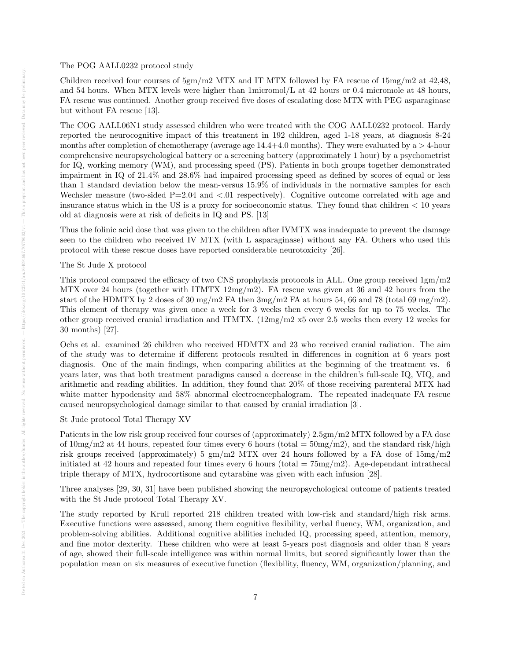Children received four courses of  $5gm/m2$  MTX and IT MTX followed by FA rescue of  $15mg/m2$  at  $42,48$ , and 54 hours. When MTX levels were higher than  $1$ micromol/L at 42 hours or 0.4 micromole at 48 hours, FA rescue was continued. Another group received five doses of escalating dose MTX with PEG asparaginase but without FA rescue [13].

The COG AALL06N1 study assessed children who were treated with the COG AALL0232 protocol. Hardy reported the neurocognitive impact of this treatment in 192 children, aged 1-18 years, at diagnosis 8-24 months after completion of chemotherapy (average age  $14.4+4.0$  months). They were evaluated by a  $> 4$ -hour comprehensive neuropsychological battery or a screening battery (approximately 1 hour) by a psychometrist for IQ, working memory (WM), and processing speed (PS). Patients in both groups together demonstrated impairment in IQ of 21.4% and 28.6% had impaired processing speed as defined by scores of equal or less than 1 standard deviation below the mean-versus 15.9% of individuals in the normative samples for each Wechsler measure (two-sided  $P=2.04$  and  $\langle .01 \rangle$  respectively). Cognitive outcome correlated with age and insurance status which in the US is a proxy for socioeconomic status. They found that children  $\lt 10$  years old at diagnosis were at risk of deficits in IQ and PS. [13]

Thus the folinic acid dose that was given to the children after IVMTX was inadequate to prevent the damage seen to the children who received IV MTX (with L asparaginase) without any FA. Others who used this protocol with these rescue doses have reported considerable neurotoxicity [26].

# The St Jude X protocol

This protocol compared the efficacy of two CNS prophylaxis protocols in ALL. One group received 1gm/m2 MTX over 24 hours (together with ITMTX 12mg/m2). FA rescue was given at 36 and 42 hours from the start of the HDMTX by 2 doses of 30 mg/m2 FA then  $3mg/m2$  FA at hours 54, 66 and 78 (total 69 mg/m2). This element of therapy was given once a week for 3 weeks then every 6 weeks for up to 75 weeks. The other group received cranial irradiation and ITMTX. (12mg/m2 x5 over 2.5 weeks then every 12 weeks for 30 months) [27].

Ochs et al. examined 26 children who received HDMTX and 23 who received cranial radiation. The aim of the study was to determine if different protocols resulted in differences in cognition at 6 years post diagnosis. One of the main findings, when comparing abilities at the beginning of the treatment vs. 6 years later, was that both treatment paradigms caused a decrease in the children's full-scale IQ, VIQ, and arithmetic and reading abilities. In addition, they found that 20% of those receiving parenteral MTX had white matter hypodensity and 58% abnormal electroencephalogram. The repeated inadequate FA rescue caused neuropsychological damage similar to that caused by cranial irradiation [3].

#### St Jude protocol Total Therapy XV

Patients in the low risk group received four courses of (approximately) 2.5gm/m2 MTX followed by a FA dose of  $10\,\text{mg/m2}$  at 44 hours, repeated four times every 6 hours (total =  $50\,\text{mg/m2}$ ), and the standard risk/high risk groups received (approximately) 5 gm/m2 MTX over 24 hours followed by a FA dose of 15mg/m2 initiated at 42 hours and repeated four times every 6 hours (total  $= 75mg/m2$ ). Age-dependant intrathecal triple therapy of MTX, hydrocortisone and cytarabine was given with each infusion [28].

Three analyses [29, 30, 31] have been published showing the neuropsychological outcome of patients treated with the St Jude protocol Total Therapy XV.

The study reported by Krull reported 218 children treated with low-risk and standard/high risk arms. Executive functions were assessed, among them cognitive flexibility, verbal fluency, WM, organization, and problem-solving abilities. Additional cognitive abilities included IQ, processing speed, attention, memory, and fine motor dexterity. These children who were at least 5-years post diagnosis and older than 8 years of age, showed their full-scale intelligence was within normal limits, but scored significantly lower than the population mean on six measures of executive function (flexibility, fluency, WM, organization/planning, and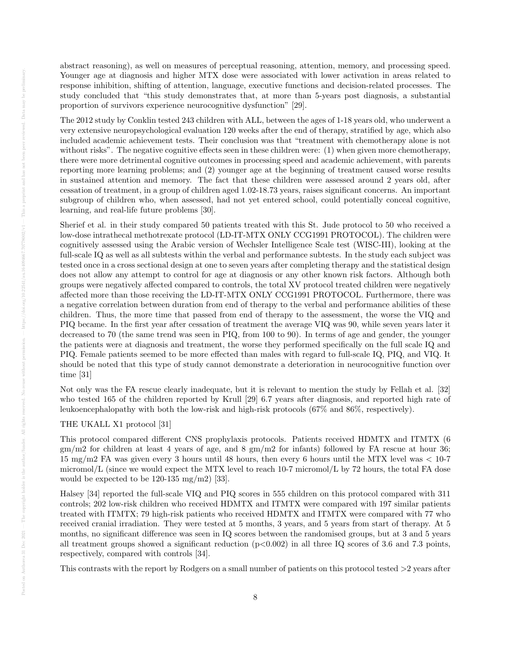abstract reasoning), as well on measures of perceptual reasoning, attention, memory, and processing speed. Younger age at diagnosis and higher MTX dose were associated with lower activation in areas related to response inhibition, shifting of attention, language, executive functions and decision-related processes. The study concluded that "this study demonstrates that, at more than 5-years post diagnosis, a substantial proportion of survivors experience neurocognitive dysfunction" [29].

The 2012 study by Conklin tested 243 children with ALL, between the ages of 1-18 years old, who underwent a very extensive neuropsychological evaluation 120 weeks after the end of therapy, stratified by age, which also included academic achievement tests. Their conclusion was that "treatment with chemotherapy alone is not without risks". The negative cognitive effects seen in these children were: (1) when given more chemotherapy, there were more detrimental cognitive outcomes in processing speed and academic achievement, with parents reporting more learning problems; and (2) younger age at the beginning of treatment caused worse results in sustained attention and memory. The fact that these children were assessed around 2 years old, after cessation of treatment, in a group of children aged 1.02-18.73 years, raises significant concerns. An important subgroup of children who, when assessed, had not yet entered school, could potentially conceal cognitive, learning, and real-life future problems [30].

Sherief et al. in their study compared 50 patients treated with this St. Jude protocol to 50 who received a low-dose intrathecal methotrexate protocol (LD-IT-MTX ONLY CCG1991 PROTOCOL). The children were cognitively assessed using the Arabic version of Wechsler Intelligence Scale test (WISC-III), looking at the full-scale IQ as well as all subtests within the verbal and performance subtests. In the study each subject was tested once in a cross sectional design at one to seven years after completing therapy and the statistical design does not allow any attempt to control for age at diagnosis or any other known risk factors. Although both groups were negatively affected compared to controls, the total XV protocol treated children were negatively affected more than those receiving the LD-IT-MTX ONLY CCG1991 PROTOCOL. Furthermore, there was a negative correlation between duration from end of therapy to the verbal and performance abilities of these children. Thus, the more time that passed from end of therapy to the assessment, the worse the VIQ and PIQ became. In the first year after cessation of treatment the average VIQ was 90, while seven years later it decreased to 70 (the same trend was seen in PIQ, from 100 to 90). In terms of age and gender, the younger the patients were at diagnosis and treatment, the worse they performed specifically on the full scale IQ and PIQ. Female patients seemed to be more effected than males with regard to full-scale IQ, PIQ, and VIQ. It should be noted that this type of study cannot demonstrate a deterioration in neurocognitive function over time [31]

Not only was the FA rescue clearly inadequate, but it is relevant to mention the study by Fellah et al. [32] who tested 165 of the children reported by Krull [29] 6.7 years after diagnosis, and reported high rate of leukoencephalopathy with both the low-risk and high-risk protocols (67% and 86%, respectively).

# THE UKALL X1 protocol [31]

This protocol compared different CNS prophylaxis protocols. Patients received HDMTX and ITMTX (6 gm/m2 for children at least 4 years of age, and 8 gm/m2 for infants) followed by FA rescue at hour 36; 15 mg/m2 FA was given every 3 hours until 48 hours, then every 6 hours until the MTX level was < 10-7 micromol/L (since we would expect the MTX level to reach 10-7 micromol/L by 72 hours, the total FA dose would be expected to be  $120-135 \text{ mg/m2}$  [33].

Halsey [34] reported the full-scale VIQ and PIQ scores in 555 children on this protocol compared with 311 controls; 202 low-risk children who received HDMTX and ITMTX were compared with 197 similar patients treated with ITMTX; 79 high-risk patients who received HDMTX and ITMTX were compared with 77 who received cranial irradiation. They were tested at 5 months, 3 years, and 5 years from start of therapy. At 5 months, no significant difference was seen in IQ scores between the randomised groups, but at 3 and 5 years all treatment groups showed a significant reduction  $(p<0.002)$  in all three IQ scores of 3.6 and 7.3 points, respectively, compared with controls [34].

This contrasts with the report by Rodgers on a small number of patients on this protocol tested >2 years after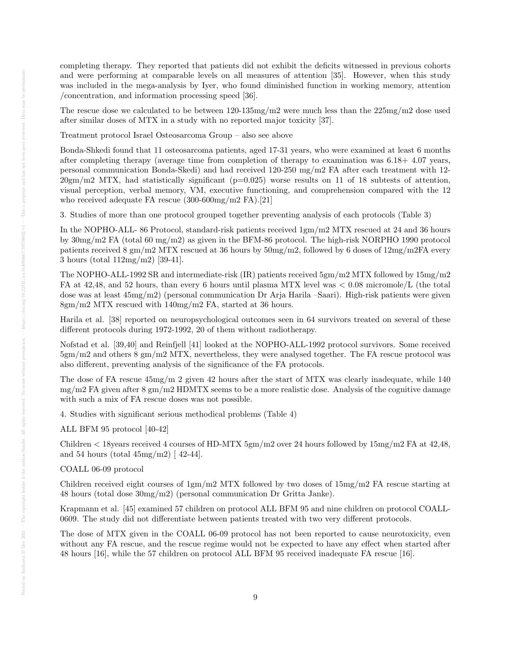completing therapy. They reported that patients did not exhibit the deficits witnessed in previous cohorts and were performing at comparable levels on all measures of attention [35]. However, when this study was included in the mega-analysis by Iyer, who found diminished function in working memory, attention /concentration, and information processing speed [36].

The rescue dose we calculated to be between 120-135mg/m2 were much less than the 225mg/m2 dose used after similar doses of MTX in a study with no reported major toxicity [37].

Treatment protocol Israel Osteosarcoma Group – also see above

Bonda-Shkedi found that 11 osteosarcoma patients, aged 17-31 years, who were examined at least 6 months after completing therapy (average time from completion of therapy to examination was 6.18+ 4.07 years, personal communication Bonda-Skedi) and had received 120-250 mg/m2 FA after each treatment with 12-  $20gm/m2$  MTX, had statistically significant ( $p=0.025$ ) worse results on 11 of 18 subtests of attention, visual perception, verbal memory, VM, executive functioning, and comprehension compared with the 12 who received adequate FA rescue (300-600mg/m2 FA).[21]

3. Studies of more than one protocol grouped together preventing analysis of each protocols (Table 3)

In the NOPHO-ALL- 86 Protocol, standard-risk patients received 1gm/m2 MTX rescued at 24 and 36 hours by 30mg/m2 FA (total 60 mg/m2) as given in the BFM-86 protocol. The high-risk NORPHO 1990 protocol patients received 8 gm/m2 MTX rescued at 36 hours by 50mg/m2, followed by 6 doses of 12mg/m2FA every 3 hours (total 112mg/m2) [39-41].

The NOPHO-ALL-1992 SR and intermediate-risk (IR) patients received 5gm/m2 MTX followed by 15mg/m2 FA at 42,48, and 52 hours, than every 6 hours until plasma MTX level was < 0.08 micromole/L (the total dose was at least 45mg/m2) (personal communication Dr Arja Harila –Saari). High-risk patients were given 8gm/m2 MTX rescued with 140mg/m2 FA, started at 36 hours.

Harila et al. [38] reported on neuropsychological outcomes seen in 64 survivors treated on several of these different protocols during 1972-1992, 20 of them without radiotherapy.

Nofstad et al. [39,40] and Reinfjell [41] looked at the NOPHO-ALL-1992 protocol survivors. Some received 5gm/m2 and others 8 gm/m2 MTX, nevertheless, they were analysed together. The FA rescue protocol was also different, preventing analysis of the significance of the FA protocols.

The dose of FA rescue 45mg/m 2 given 42 hours after the start of MTX was clearly inadequate, while 140 mg/m2 FA given after 8 gm/m2 HDMTX seems to be a more realistic dose. Analysis of the cognitive damage with such a mix of FA rescue doses was not possible.

4. Studies with significant serious methodical problems (Table 4)

ALL BFM 95 protocol [40-42]

Children < 18years received 4 courses of HD-MTX 5gm/m2 over 24 hours followed by 15mg/m2 FA at 42,48, and 54 hours (total  $45mg/m2$ ) [  $42-44$ ].

# COALL 06-09 protocol

Children received eight courses of  $1gm/m2$  MTX followed by two doses of  $15mg/m2$  FA rescue starting at 48 hours (total dose 30mg/m2) (personal communication Dr Gritta Janke).

Krapmann et al. [45] examined 57 children on protocol ALL BFM 95 and nine children on protocol COALL-0609. The study did not differentiate between patients treated with two very different protocols.

The dose of MTX given in the COALL 06-09 protocol has not been reported to cause neurotoxicity, even without any FA rescue, and the rescue regime would not be expected to have any effect when started after 48 hours [16], while the 57 children on protocol ALL BFM 95 received inadequate FA rescue [16].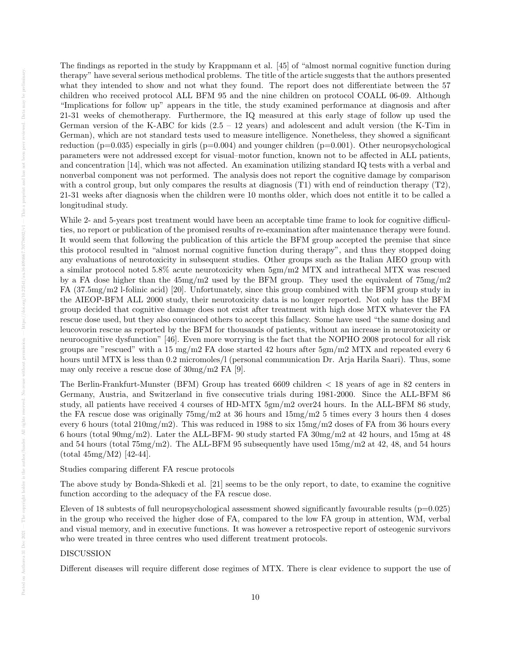The findings as reported in the study by Krappmann et al. [45] of "almost normal cognitive function during therapy" have several serious methodical problems. The title of the article suggests that the authors presented what they intended to show and not what they found. The report does not differentiate between the 57 children who received protocol ALL BFM 95 and the nine children on protocol COALL 06-09. Although "Implications for follow up" appears in the title, the study examined performance at diagnosis and after 21-31 weeks of chemotherapy. Furthermore, the IQ measured at this early stage of follow up used the German version of the K-ABC for kids  $(2.5 - 12 \text{ years})$  and adolescent and adult version (the K-Tim in German), which are not standard tests used to measure intelligence. Nonetheless, they showed a significant reduction ( $p=0.035$ ) especially in girls ( $p=0.004$ ) and younger children ( $p=0.001$ ). Other neuropsychological parameters were not addressed except for visual–motor function, known not to be affected in ALL patients, and concentration [14], which was not affected. An examination utilizing standard IQ tests with a verbal and nonverbal component was not performed. The analysis does not report the cognitive damage by comparison with a control group, but only compares the results at diagnosis (T1) with end of reinduction therapy (T2), 21-31 weeks after diagnosis when the children were 10 months older, which does not entitle it to be called a longitudinal study.

While 2- and 5-years post treatment would have been an acceptable time frame to look for cognitive difficulties, no report or publication of the promised results of re-examination after maintenance therapy were found. It would seem that following the publication of this article the BFM group accepted the premise that since this protocol resulted in "almost normal cognitive function during therapy", and thus they stopped doing any evaluations of neurotoxicity in subsequent studies. Other groups such as the Italian AIEO group with a similar protocol noted 5.8% acute neurotoxicity when 5gm/m2 MTX and intrathecal MTX was rescued by a FA dose higher than the 45mg/m2 used by the BFM group. They used the equivalent of 75mg/m2 FA (37.5mg/m2 l-folinic acid) [20]. Unfortunately, since this group combined with the BFM group study in the AIEOP-BFM ALL 2000 study, their neurotoxicity data is no longer reported. Not only has the BFM group decided that cognitive damage does not exist after treatment with high dose MTX whatever the FA rescue dose used, but they also convinced others to accept this fallacy. Some have used "the same dosing and leucovorin rescue as reported by the BFM for thousands of patients, without an increase in neurotoxicity or neurocognitive dysfunction" [46]. Even more worrying is the fact that the NOPHO 2008 protocol for all risk groups are "rescued" with a 15 mg/m2 FA dose started 42 hours after  $5gm/m2$  MTX and repeated every 6 hours until MTX is less than 0.2 micromoles/l (personal communication Dr. Arja Harila Saari). Thus, some may only receive a rescue dose of 30mg/m2 FA [9].

The Berlin-Frankfurt-Munster (BFM) Group has treated 6609 children < 18 years of age in 82 centers in Germany, Austria, and Switzerland in five consecutive trials during 1981-2000. Since the ALL-BFM 86 study, all patients have received 4 courses of HD-MTX 5gm/m2 over24 hours. In the ALL-BFM 86 study, the FA rescue dose was originally  $75mg/m2$  at 36 hours and  $15mg/m2$  5 times every 3 hours then 4 doses every 6 hours (total  $210mg/m2$ ). This was reduced in 1988 to six  $15mg/m2$  doses of FA from 36 hours every 6 hours (total 90mg/m2). Later the ALL-BFM- 90 study started FA 30mg/m2 at 42 hours, and 15mg at 48 and 54 hours (total 75mg/m2). The ALL-BFM 95 subsequently have used 15mg/m2 at 42, 48, and 54 hours (total 45mg/M2) [42-44].

# Studies comparing different FA rescue protocols

The above study by Bonda-Shkedi et al. [21] seems to be the only report, to date, to examine the cognitive function according to the adequacy of the FA rescue dose.

Eleven of 18 subtests of full neuropsychological assessment showed significantly favourable results  $(p=0.025)$ in the group who received the higher dose of FA, compared to the low FA group in attention, WM, verbal and visual memory, and in executive functions. It was however a retrospective report of osteogenic survivors who were treated in three centres who used different treatment protocols.

# DISCUSSION

Different diseases will require different dose regimes of MTX. There is clear evidence to support the use of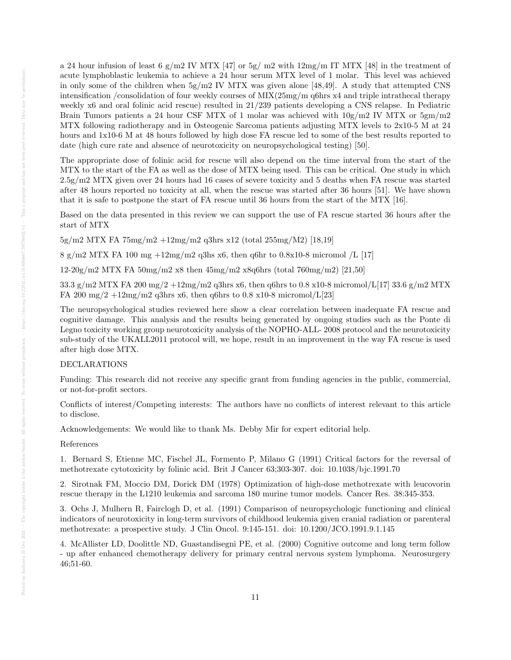a 24 hour infusion of least 6 g/m2 IV MTX [47] or  $5g/m2$  with  $12mg/m$  IT MTX [48] in the treatment of acute lymphoblastic leukemia to achieve a 24 hour serum MTX level of 1 molar. This level was achieved in only some of the children when  $5g/m2$  IV MTX was given alone [48,49]. A study that attempted CNS intensification /consolidation of four weekly courses of MIX(25mg/m q6hrs x4 and triple intrathecal therapy weekly x6 and oral folinic acid rescue) resulted in 21/239 patients developing a CNS relapse. In Pediatric Brain Tumors patients a 24 hour CSF MTX of 1 molar was achieved with  $10g/m2$  IV MTX or  $5gm/m2$ MTX following radiotherapy and in Osteogenic Sarcoma patients adjusting MTX levels to 2x10-5 M at 24 hours and 1x10-6 M at 48 hours followed by high dose FA rescue led to some of the best results reported to date (high cure rate and absence of neurotoxicity on neuropsychological testing) [50].

The appropriate dose of folinic acid for rescue will also depend on the time interval from the start of the MTX to the start of the FA as well as the dose of MTX being used. This can be critical. One study in which 2.5g/m2 MTX given over 24 hours had 16 cases of severe toxicity and 5 deaths when FA rescue was started after 48 hours reported no toxicity at all, when the rescue was started after 36 hours [51]. We have shown that it is safe to postpone the start of FA rescue until 36 hours from the start of the MTX [16].

Based on the data presented in this review we can support the use of FA rescue started 36 hours after the start of MTX

 $5g/m2$  MTX FA  $75mg/m2 +12mg/m2$  q3hrs x12 (total  $255mg/M2$ ) [18,19]

 $8 \text{ g/m}$ 2 MTX FA 100 mg  $+12 \text{ mg/m}$ 2 q3hs x6, then q6hr to 0.8x10-8 micromol /L [17]

 $12\text{-}20g/m2$  MTX FA  $50mg/m2$  x8 then  $45mg/m2$  x8q6hrs (total 760mg/m2) [21,50]

33.3 g/m2 MTX FA 200 mg/2 +12mg/m2 q3hrs x6, then q6hrs to 0.8 x10-8 micromol/L[17] 33.6 g/m2 MTX FA 200 mg/2  $+12$ mg/m2 q3hrs x6, then q6hrs to 0.8 x10-8 micromol/L[23]

The neuropsychological studies reviewed here show a clear correlation between inadequate FA rescue and cognitive damage. This analysis and the results being generated by ongoing studies such as the Ponte di Legno toxicity working group neurotoxicity analysis of the NOPHO-ALL- 2008 protocol and the neurotoxicity sub-study of the UKALL2011 protocol will, we hope, result in an improvement in the way FA rescue is used after high dose MTX.

# DECLARATIONS

Funding: This research did not receive any specific grant from funding agencies in the public, commercial, or not-for-profit sectors.

Conflicts of interest/Competing interests: The authors have no conflicts of interest relevant to this article to disclose.

Acknowledgements: We would like to thank Ms. Debby Mir for expert editorial help.

## References

1. Bernard S, Etienne MC, Fischel JL, Formento P, Milano G (1991) Critical factors for the reversal of methotrexate cytotoxicity by folinic acid. Brit J Cancer 63;303-307. doi: 10.1038/bjc.1991.70

2. Sirotnak FM, Moccio DM, Dorick DM (1978) Optimization of high-dose methotrexate with leucovorin rescue therapy in the L1210 leukemia and sarcoma 180 murine tumor models. Cancer Res. 38:345-353.

3. Ochs J, Mulhern R, Fairclogh D, et al. (1991) Comparison of neuropsychologic functioning and clinical indicators of neurotoxicity in long-term survivors of childhood leukemia given cranial radiation or parenteral methotrexate: a prospective study. J Clin Oncol. 9:145-151. doi: 10.1200/JCO.1991.9.1.145

4. McAllister LD, Doolittle ND, Guastandisegni PE, et al. (2000) Cognitive outcome and long term follow - up after enhanced chemotherapy delivery for primary central nervous system lymphoma. Neurosurgery 46;51-60.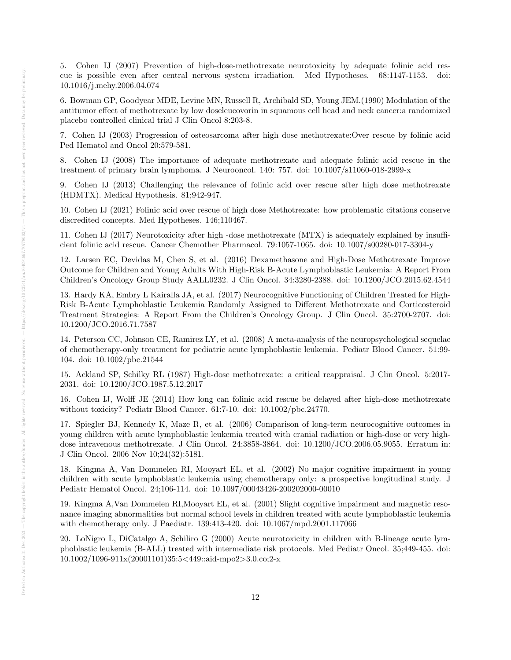5. Cohen IJ (2007) Prevention of high-dose-methotrexate neurotoxicity by adequate folinic acid rescue is possible even after central nervous system irradiation. Med Hypotheses. 68:1147-1153. doi: 10.1016/j.mehy.2006.04.074

6. Bowman GP, Goodyear MDE, Levine MN, Russell R, Archibald SD, Young JEM.(1990) Modulation of the antitumor effect of methotrexate by low doseleucovorin in squamous cell head and neck cancer:a randomized placebo controlled clinical trial J Clin Oncol 8:203-8.

7. Cohen IJ (2003) Progression of osteosarcoma after high dose methotrexate:Over rescue by folinic acid Ped Hematol and Oncol 20:579-581.

8. Cohen IJ (2008) The importance of adequate methotrexate and adequate folinic acid rescue in the treatment of primary brain lymphoma. J Neurooncol. 140: 757. doi: 10.1007/s11060-018-2999-x

9. Cohen IJ (2013) Challenging the relevance of folinic acid over rescue after high dose methotrexate (HDMTX). Medical Hypothesis. 81;942-947.

10. Cohen IJ (2021) Folinic acid over rescue of high dose Methotrexate: how problematic citations conserve discredited concepts. Med Hypotheses. 146;110467.

11. Cohen IJ (2017) Neurotoxicity after high -dose methotrexate (MTX) is adequately explained by insufficient folinic acid rescue. Cancer Chemother Pharmacol. 79:1057-1065. doi: 10.1007/s00280-017-3304-y

12. Larsen EC, Devidas M, Chen S, et al. (2016) Dexamethasone and High-Dose Methotrexate Improve Outcome for Children and Young Adults With High-Risk B-Acute Lymphoblastic Leukemia: A Report From Children's Oncology Group Study AALL0232. J Clin Oncol. 34:3280-2388. doi: 10.1200/JCO.2015.62.4544

13. Hardy KA, Embry L Kairalla JA, et al. (2017) Neurocognitive Functioning of Children Treated for High-Risk B-Acute Lymphoblastic Leukemia Randomly Assigned to Different Methotrexate and Corticosteroid Treatment Strategies: A Report From the Children's Oncology Group. J Clin Oncol. 35:2700-2707. doi: 10.1200/JCO.2016.71.7587

14. Peterson CC, Johnson CE, Ramirez LY, et al. (2008) A meta-analysis of the neuropsychological sequelae of chemotherapy-only treatment for pediatric acute lymphoblastic leukemia. Pediatr Blood Cancer. 51:99- 104. doi: 10.1002/pbc.21544

15. Ackland SP, Schilky RL (1987) High-dose methotrexate: a critical reappraisal. J Clin Oncol. 5:2017- 2031. doi: 10.1200/JCO.1987.5.12.2017

16. Cohen IJ, Wolff JE (2014) How long can folinic acid rescue be delayed after high-dose methotrexate without toxicity? Pediatr Blood Cancer. 61:7-10. doi: 10.1002/pbc.24770.

17. Spiegler BJ, Kennedy K, Maze R, et al. (2006) Comparison of long-term neurocognitive outcomes in young children with acute lymphoblastic leukemia treated with cranial radiation or high-dose or very highdose intravenous methotrexate. J Clin Oncol. 24;3858-3864. doi: 10.1200/JCO.2006.05.9055. Erratum in: J Clin Oncol. 2006 Nov 10;24(32):5181.

18. Kingma A, Van Dommelen RI, Mooyart EL, et al. (2002) No major cognitive impairment in young children with acute lymphoblastic leukemia using chemotherapy only: a prospective longitudinal study. J Pediatr Hematol Oncol. 24;106-114. doi: 10.1097/00043426-200202000-00010

19. Kingma A,Van Dommelen RI,Mooyart EL, et al. (2001) Slight cognitive impairment and magnetic resonance imaging abnormalities but normal school levels in children treated with acute lymphoblastic leukemia with chemotherapy only. J Paediatr. 139:413-420. doi: 10.1067/mpd.2001.117066

20. LoNigro L, DiCatalgo A, Schiliro G (2000) Acute neurotoxicity in children with B-lineage acute lymphoblastic leukemia (B-ALL) treated with intermediate risk protocols. Med Pediatr Oncol. 35;449-455. doi: 10.1002/1096-911x(20001101)35:5<449::aid-mpo2>3.0.co;2-x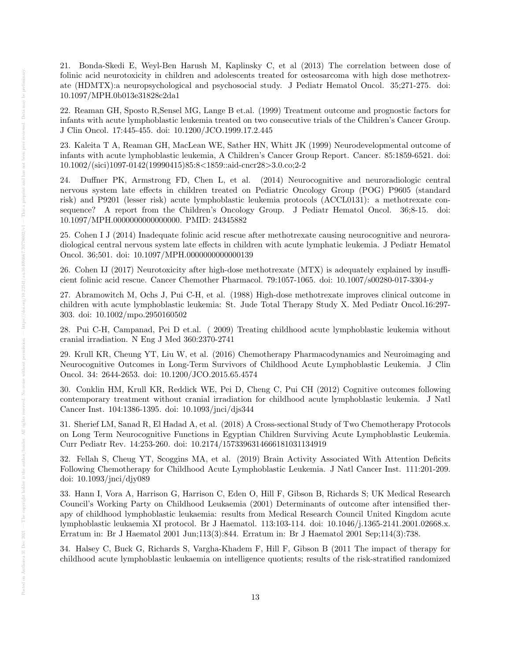21. Bonda-Skedi E, Weyl-Ben Harush M, Kaplinsky C, et al (2013) The correlation between dose of folinic acid neurotoxicity in children and adolescents treated for osteosarcoma with high dose methotrexate (HDMTX):a neuropsychological and psychosocial study. J Pediatr Hematol Oncol. 35;271-275. doi: 10.1097/MPH.0b013e31828c2da1

22. Reaman GH, Sposto R,Sensel MG, Lange B et.al. (1999) Treatment outcome and prognostic factors for infants with acute lymphoblastic leukemia treated on two consecutive trials of the Children's Cancer Group. J Clin Oncol. 17:445-455. doi: 10.1200/JCO.1999.17.2.445

23. Kaleita T A, Reaman GH, MacLean WE, Sather HN, Whitt JK (1999) Neurodevelopmental outcome of infants with acute lymphoblastic leukemia, A Children's Cancer Group Report. Cancer. 85:1859-6521. doi: 10.1002/(sici)1097-0142(19990415)85:8<1859::aid-cncr28>3.0.co;2-2

24. Duffner PK, Armstrong FD, Chen L, et al. (2014) Neurocognitive and neuroradiologic central nervous system late effects in children treated on Pediatric Oncology Group (POG) P9605 (standard risk) and P9201 (lesser risk) acute lymphoblastic leukemia protocols (ACCL0131): a methotrexate consequence? A report from the Children's Oncology Group. J Pediatr Hematol Oncol. 36;8-15. doi: 10.1097/MPH.0000000000000000. PMID: 24345882

25. Cohen I J (2014) Inadequate folinic acid rescue after methotrexate causing neurocognitive and neuroradiological central nervous system late effects in children with acute lymphatic leukemia. J Pediatr Hematol Oncol. 36;501. doi: 10.1097/MPH.0000000000000139

26. Cohen IJ (2017) Neurotoxicity after high-dose methotrexate (MTX) is adequately explained by insufficient folinic acid rescue. Cancer Chemother Pharmacol. 79:1057-1065. doi: 10.1007/s00280-017-3304-y

27. Abramowitch M, Ochs J, Pui C-H, et al. (1988) High-dose methotrexate improves clinical outcome in children with acute lymphoblastic leukemia: St. Jude Total Therapy Study X. Med Pediatr Oncol.16:297- 303. doi: 10.1002/mpo.2950160502

28. Pui C-H, Campanad, Pei D et.al. ( 2009) Treating childhood acute lymphoblastic leukemia without cranial irradiation. N Eng J Med 360:2370-2741

29. Krull KR, Cheung YT, Liu W, et al. (2016) Chemotherapy Pharmacodynamics and Neuroimaging and Neurocognitive Outcomes in Long-Term Survivors of Childhood Acute Lymphoblastic Leukemia. J Clin Oncol. 34: 2644-2653. doi: 10.1200/JCO.2015.65.4574

30. Conklin HM, Krull KR, Reddick WE, Pei D, Cheng C, Pui CH (2012) Cognitive outcomes following contemporary treatment without cranial irradiation for childhood acute lymphoblastic leukemia. J Natl Cancer Inst. 104:1386-1395. doi: 10.1093/jnci/djs344

31. Sherief LM, Sanad R, El Hadad A, et al. (2018) A Cross-sectional Study of Two Chemotherapy Protocols on Long Term Neurocognitive Functions in Egyptian Children Surviving Acute Lymphoblastic Leukemia. Curr Pediatr Rev. 14:253-260. doi: 10.2174/1573396314666181031134919

32. Fellah S, Cheug YT, Scoggins MA, et al. (2019) Brain Activity Associated With Attention Deficits Following Chemotherapy for Childhood Acute Lymphoblastic Leukemia. J Natl Cancer Inst. 111:201-209. doi: 10.1093/jnci/djy089

33. Hann I, Vora A, Harrison G, Harrison C, Eden O, Hill F, Gibson B, Richards S; UK Medical Research Council's Working Party on Childhood Leukaemia (2001) Determinants of outcome after intensified therapy of childhood lymphoblastic leukaemia: results from Medical Research Council United Kingdom acute lymphoblastic leukaemia XI protocol. Br J Haematol. 113:103-114. doi: 10.1046/j.1365-2141.2001.02668.x. Erratum in: Br J Haematol 2001 Jun;113(3):844. Erratum in: Br J Haematol 2001 Sep;114(3):738.

34. Halsey C, Buck G, Richards S, Vargha-Khadem F, Hill F, Gibson B (2011 The impact of therapy for childhood acute lymphoblastic leukaemia on intelligence quotients; results of the risk-stratified randomized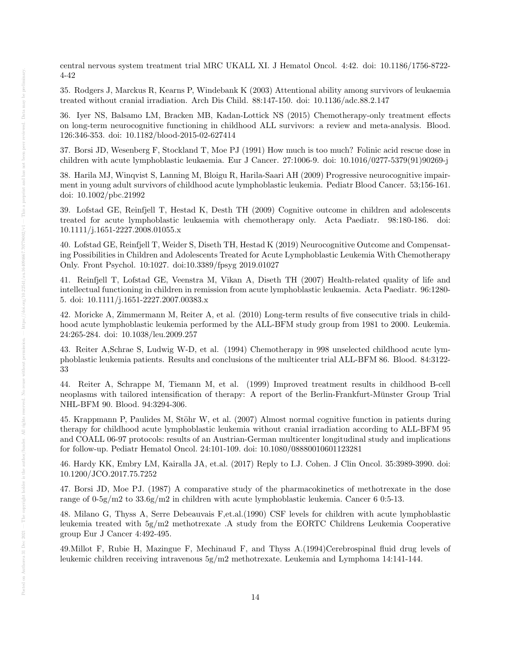central nervous system treatment trial MRC UKALL XI. J Hematol Oncol. 4:42. doi: 10.1186/1756-8722- 4-42

35. Rodgers J, Marckus R, Kearns P, Windebank K (2003) Attentional ability among survivors of leukaemia treated without cranial irradiation. Arch Dis Child. 88:147-150. doi: 10.1136/adc.88.2.147

36. Iyer NS, Balsamo LM, Bracken MB, Kadan-Lottick NS (2015) Chemotherapy-only treatment effects on long-term neurocognitive functioning in childhood ALL survivors: a review and meta-analysis. Blood. 126:346-353. doi: 10.1182/blood-2015-02-627414

37. Borsi JD, Wesenberg F, Stockland T, Moe PJ (1991) How much is too much? Folinic acid rescue dose in children with acute lymphoblastic leukaemia. Eur J Cancer. 27:1006-9. doi: 10.1016/0277-5379(91)90269-j

38. Harila MJ, Winqvist S, Lanning M, Bloigu R, Harila-Saari AH (2009) Progressive neurocognitive impairment in young adult survivors of childhood acute lymphoblastic leukemia. Pediatr Blood Cancer. 53;156-161. doi: 10.1002/pbc.21992

39. Lofstad GE, Reinfjell T, Hestad K, Desth TH (2009) Cognitive outcome in children and adolescents treated for acute lymphoblastic leukaemia with chemotherapy only. Acta Paediatr. 98:180-186. doi: 10.1111/j.1651-2227.2008.01055.x

40. Lofstad GE, Reinfjell T, Weider S, Diseth TH, Hestad K (2019) Neurocognitive Outcome and Compensating Possibilities in Children and Adolescents Treated for Acute Lymphoblastic Leukemia With Chemotherapy Only. Front Psychol. 10:1027. doi:10.3389/fpsyg 2019.01027

41. Reinfjell T, Lofstad GE, Veenstra M, Vikan A, Diseth TH (2007) Health-related quality of life and intellectual functioning in children in remission from acute lymphoblastic leukaemia. Acta Paediatr. 96:1280- 5. doi: 10.1111/j.1651-2227.2007.00383.x

42. Moricke A, Zimmermann M, Reiter A, et al. (2010) Long-term results of five consecutive trials in childhood acute lymphoblastic leukemia performed by the ALL-BFM study group from 1981 to 2000. Leukemia. 24:265-284. doi: 10.1038/leu.2009.257

43. Reiter A,Schrae S, Ludwig W-D, et al. (1994) Chemotherapy in 998 unselected childhood acute lymphoblastic leukemia patients. Results and conclusions of the multicenter trial ALL-BFM 86. Blood. 84:3122- 33

44. Reiter A, Schrappe M, Tiemann M, et al. (1999) Improved treatment results in childhood B-cell neoplasms with tailored intensification of therapy: A report of the Berlin-Frankfurt-Münster Group Trial NHL-BFM 90. Blood. 94:3294-306.

45. Krappmann P, Paulides M, Stöhr W, et al. (2007) Almost normal cognitive function in patients during therapy for childhood acute lymphoblastic leukemia without cranial irradiation according to ALL-BFM 95 and COALL 06-97 protocols: results of an Austrian-German multicenter longitudinal study and implications for follow-up. Pediatr Hematol Oncol. 24:101-109. doi: 10.1080/08880010601123281

46. Hardy KK, Embry LM, Kairalla JA, et.al. (2017) Reply to I.J. Cohen. J Clin Oncol. 35:3989-3990. doi: 10.1200/JCO.2017.75.7252

47. Borsi JD, Moe PJ. (1987) A comparative study of the pharmacokinetics of methotrexate in the dose range of 0-5g/m2 to 33.6g/m2 in children with acute lymphoblastic leukemia. Cancer 6 0:5-13.

48. Milano G, Thyss A, Serre Debeauvais F,et.al.(1990) CSF levels for children with acute lymphoblastic leukemia treated with 5g/m2 methotrexate .A study from the EORTC Childrens Leukemia Cooperative group Eur J Cancer 4:492-495.

49.Millot F, Rubie H, Mazingue F, Mechinaud F, and Thyss A.(1994)Cerebrospinal fluid drug levels of leukemic children receiving intravenous 5g/m2 methotrexate. Leukemia and Lymphoma 14:141-144.